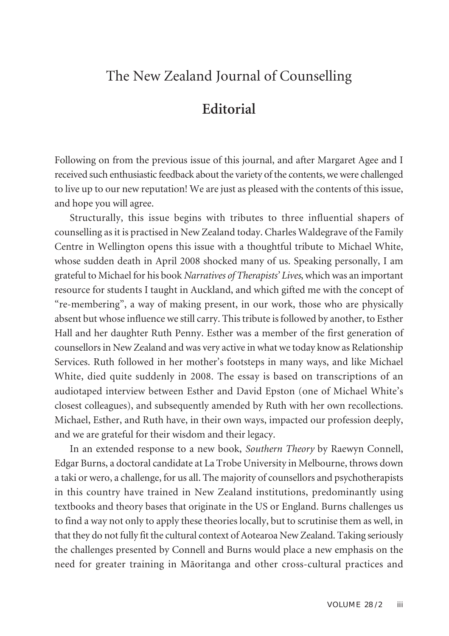## The New Zealand Journal of Counselling

## **Editorial**

Following on from the previous issue of this journal, and after Margaret Agee and I received such enthusiastic feedback about the variety of the contents, we were challenged to live up to our new reputation! We are just as pleased with the contents of this issue, and hope you will agree.

Structurally, this issue begins with tributes to three influential shapers of counselling as it is practised in New Zealand today. Charles Waldegrave of the Family Centre in Wellington opens this issue with a thoughtful tribute to Michael White, whose sudden death in April 2008 shocked many of us. Speaking personally, I am grateful to Michael for his book *Narratives of Therapists' Lives*, which was an important resource for students I taught in Auckland, and which gifted me with the concept of "re-membering", a way of making present, in our work, those who are physically absent but whose influence we still carry. This tribute is followed by another, to Esther Hall and her daughter Ruth Penny. Esther was a member of the first generation of counsellorsin New Zealand and was very active in what we today know as Relationship Services. Ruth followed in her mother's footsteps in many ways, and like Michael White, died quite suddenly in 2008. The essay is based on transcriptions of an audiotaped interview between Esther and David Epston (one of Michael White's closest colleagues), and subsequently amended by Ruth with her own recollections. Michael, Esther, and Ruth have, in their own ways, impacted our profession deeply, and we are grateful for their wisdom and their legacy.

In an extended response to a new book, *Southern Theory* by Raewyn Connell, Edgar Burns, a doctoral candidate at La Trobe University in Melbourne, throws down a taki or wero, a challenge, for us all. The majority of counsellors and psychotherapists in this country have trained in New Zealand institutions, predominantly using textbooks and theory bases that originate in the US or England. Burns challenges us to find a way not only to apply these theories locally, but to scrutinise them as well, in that they do not fully fit the cultural context of Aotearoa New Zealand. Taking seriously the challenges presented by Connell and Burns would place a new emphasis on the need for greater training in Mäoritanga and other cross-cultural practices and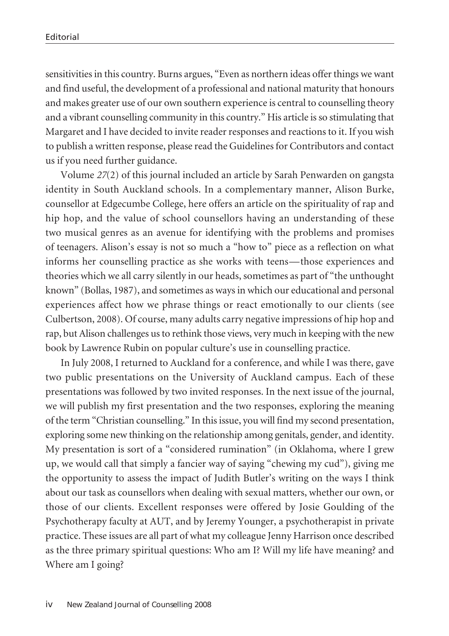sensitivities in this country. Burns argues, "Even as northern ideas offer things we want and find useful, the development of a professional and national maturity that honours and makes greater use of our own southern experience is central to counselling theory and a vibrant counselling community in this country." His article isso stimulating that Margaret and I have decided to invite reader responses and reactions to it. If you wish to publish a written response, please read the Guidelines for Contributors and contact us if you need further guidance.

Volume *27*(2) of this journal included an article by Sarah Penwarden on gangsta identity in South Auckland schools. In a complementary manner, Alison Burke, counsellor at Edgecumbe College, here offers an article on the spirituality of rap and hip hop, and the value of school counsellors having an understanding of these two musical genres as an avenue for identifying with the problems and promises of teenagers. Alison's essay is not so much a "how to" piece as a reflection on what informs her counselling practice as she works with teens—those experiences and theories which we all carry silently in our heads, sometimes as part of "the unthought known" (Bollas, 1987), and sometimes as ways in which our educational and personal experiences affect how we phrase things or react emotionally to our clients (see Culbertson, 2008). Of course, many adults carry negative impressions of hip hop and rap, but Alison challenges usto rethink those views, very much in keeping with the new book by Lawrence Rubin on popular culture's use in counselling practice.

In July 2008, I returned to Auckland for a conference, and while I was there, gave two public presentations on the University of Auckland campus. Each of these presentations was followed by two invited responses. In the next issue of the journal, we will publish my first presentation and the two responses, exploring the meaning of the term "Christian counselling." In thisissue, you will find my second presentation, exploring some new thinking on the relationship among genitals, gender, and identity. My presentation is sort of a "considered rumination" (in Oklahoma, where I grew up, we would call that simply a fancier way of saying "chewing my cud"), giving me the opportunity to assess the impact of Judith Butler's writing on the ways I think about our task as counsellors when dealing with sexual matters, whether our own, or those of our clients. Excellent responses were offered by Josie Goulding of the Psychotherapy faculty at AUT, and by Jeremy Younger, a psychotherapist in private practice. These issues are all part of what my colleague Jenny Harrison once described as the three primary spiritual questions: Who am I? Will my life have meaning? and Where am I going?